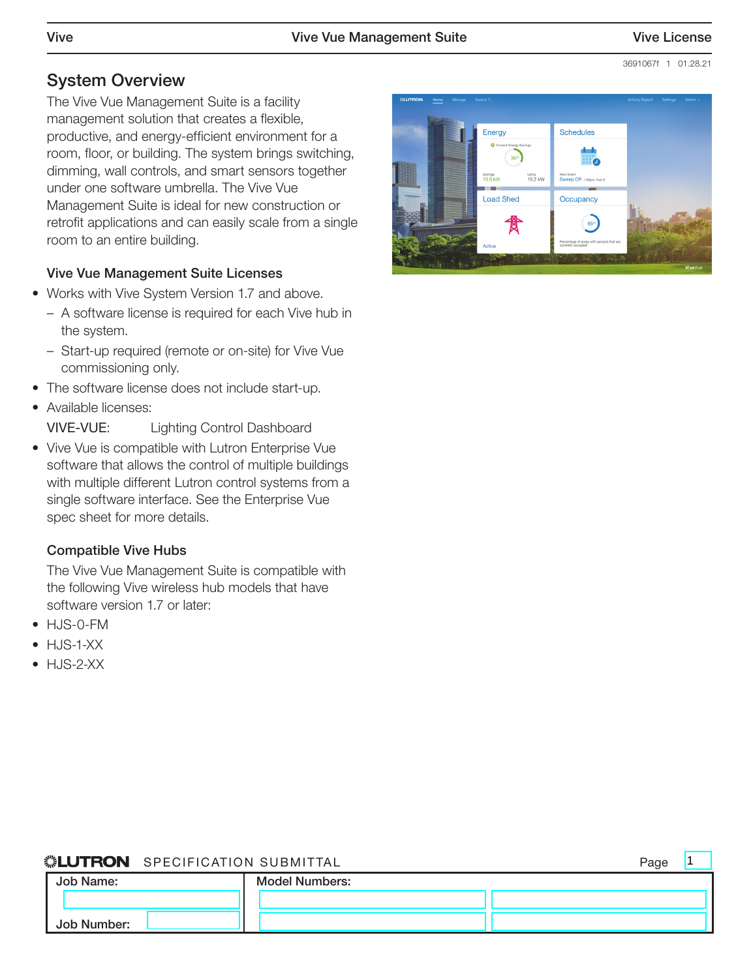# System Overview

The Vive Vue Management Suite is a facility management solution that creates a flexible, productive, and energy-efficient environment for a room, floor, or building. The system brings switching, dimming, wall controls, and smart sensors together under one software umbrella. The Vive Vue Management Suite is ideal for new construction or retrofit applications and can easily scale from a single room to an entire building.

#### Vive Vue Management Suite Licenses

- Works with Vive System Version 1.7 and above.
	- A software license is required for each Vive hub in the system.
	- Start-up required (remote or on-site) for Vive Vue commissioning only.
- The software license does not include start-up.
- Available licenses:

VIVE-VUE Lighting Control Dashboard

• Vive Vue is compatible with Lutron Enterprise Vue software that allows the control of multiple buildings with multiple different Lutron control systems from a single software interface. See the Enterprise Vue spec sheet for more details.

#### Compatible Vive Hubs

The Vive Vue Management Suite is compatible with the following Vive wireless hub models that have software version 1.7 or later:

- HJS-0-FM
- HJS-1-XX
- HJS-2-XX



#### ® SPECIFICATION SUBMITTAL Page

| Job Name:   | <b>Model Numbers:</b> |  |
|-------------|-----------------------|--|
|             |                       |  |
| Job Number: |                       |  |

1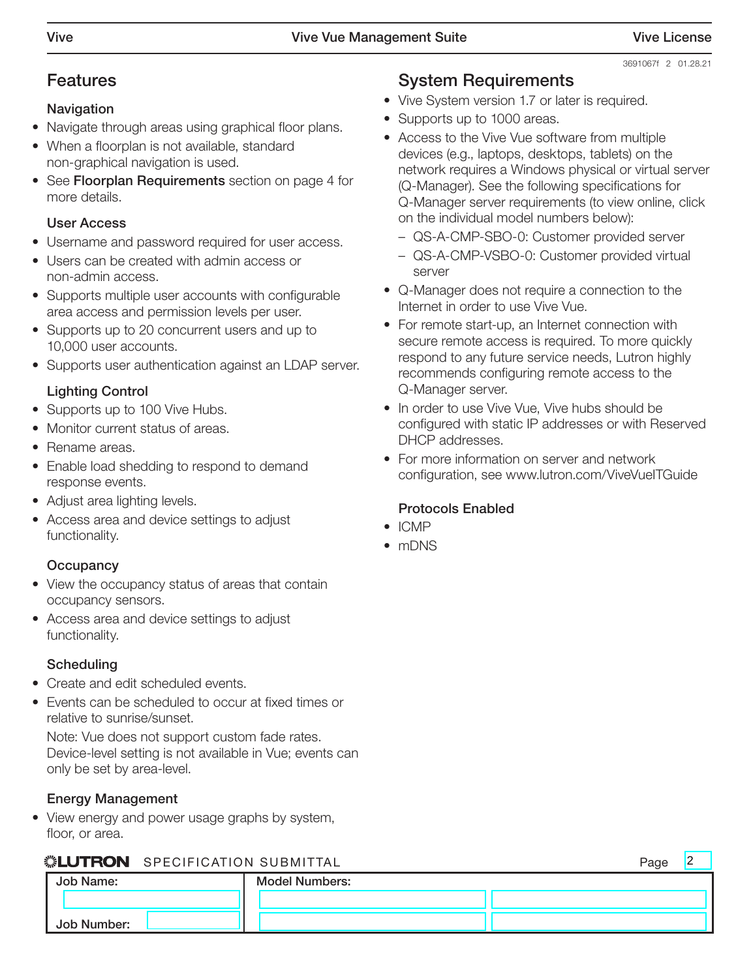$\overline{2}$ 

### Features

#### Navigation

- Navigate through areas using graphical floor plans.
- When a floorplan is not available, standard non-graphical navigation is used.
- See Floorplan Requirements section on page 4 for more details.

#### User Access

- Username and password required for user access.
- Users can be created with admin access or non-admin access.
- Supports multiple user accounts with configurable area access and permission levels per user.
- Supports up to 20 concurrent users and up to 10,000 user accounts.
- Supports user authentication against an LDAP server.

### Lighting Control

- Supports up to 100 Vive Hubs.
- Monitor current status of areas.
- Rename areas.
- Enable load shedding to respond to demand response events.
- Adjust area lighting levels.
- Access area and device settings to adjust functionality.

#### **Occupancy**

- View the occupancy status of areas that contain occupancy sensors.
- Access area and device settings to adjust functionality.

#### **Scheduling**

- Create and edit scheduled events.
- Events can be scheduled to occur at fixed times or relative to sunrise/sunset.

Note: Vue does not support custom fade rates. Device-level setting is not available in Vue; events can only be set by area-level.

#### Energy Management

• View energy and power usage graphs by system, floor, or area.

#### **ELLITRON** SPECIFICATION SUBMITTAL PAGE PAGE PAGE PAGE

| Job Name:   | <b>Model Numbers:</b> |  |
|-------------|-----------------------|--|
|             |                       |  |
| Job Number: |                       |  |

## System Requirements

- Vive System version 1.7 or later is required.
- Supports up to 1000 areas.
- Access to the Vive Vue software from multiple devices (e.g., laptops, desktops, tablets) on the network requires a Windows physical or virtual server (Q-Manager). See the following specifications for Q-Manager server requirements (to view online, click on the individual model numbers below):
	- [QS-A-CMP-SBO-0:](http://www.lutron.com/TechnicalDocumentLibrary/qs-a-cmp-sbo-0.pdf) Customer provided server
	- [QS-A-CMP-VSBO-0:](http://www.lutron.com/TechnicalDocumentLibrary/Virtual%20Server%20QS-A-CMP-VS-0.pdf) Customer provided virtual server
- Q-Manager does not require a connection to the Internet in order to use Vive Vue.
- For remote start-up, an Internet connection with secure remote access is required. To more quickly respond to any future service needs, Lutron highly recommends configuring remote access to the Q-Manager server.
- In order to use Vive Vue, Vive hubs should be configured with static IP addresses or with Reserved DHCP addresses.
- For more information on server and network configuration, see www.lutron.com/ViveVueITGuide

#### Protocols Enabled

- ICMP
- mDNS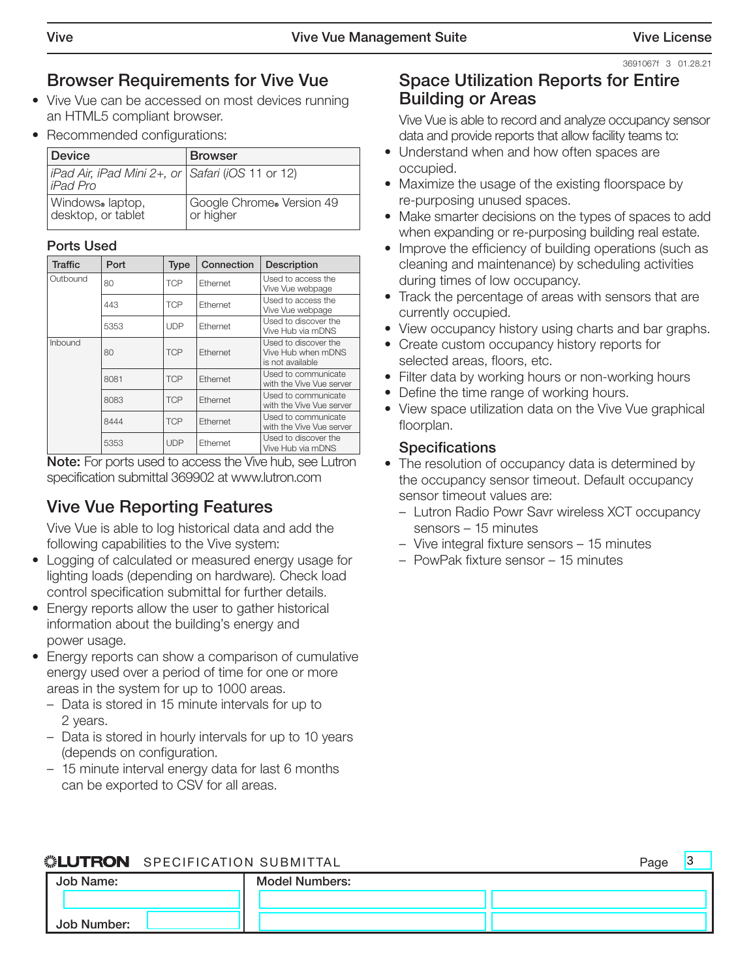$\overline{2}$ 

3691067f 3 01.28.21

# Browser Requirements for Vive Vue

- Vive Vue can be accessed on most devices running an HTML5 compliant browser.
- Recommended configurations:

| Device                                                                | <b>Browser</b>                         |
|-----------------------------------------------------------------------|----------------------------------------|
| iPad Air, iPad Mini 2+, or $\vert$ Safari (iOS 11 or 12)<br>liPad Pro |                                        |
| Windows®laptop,<br>desktop, or tablet                                 | Google Chrome® Version 49<br>or higher |

#### Ports Used

| <b>Traffic</b> | Port | <b>Type</b> | Connection | Description                                                    |
|----------------|------|-------------|------------|----------------------------------------------------------------|
| Outbound       | 80   | <b>TCP</b>  | Ethernet   | Used to access the<br>Vive Vue webpage                         |
|                | 443  | <b>TCP</b>  | Ethernet   | Used to access the<br>Vive Vue webpage                         |
|                | 5353 | <b>UDP</b>  | Ethernet   | Used to discover the<br>Vive Hub via mDNS                      |
| Inbound        | 80   | <b>TCP</b>  | Ethernet   | Used to discover the<br>Vive Hub when mDNS<br>is not available |
|                | 8081 | <b>TCP</b>  | Ethernet   | Used to communicate<br>with the Vive Vue server                |
|                | 8083 | <b>TCP</b>  | Ethernet   | Used to communicate<br>with the Vive Vue server                |
|                | 8444 | <b>TCP</b>  | Ethernet   | Used to communicate<br>with the Vive Vue server                |
|                | 5353 | <b>UDP</b>  | Ethernet   | Used to discover the<br>Vive Hub via mDNS                      |

Note: For ports used to access the Vive hub, see Lutron specification submittal 369902 at www.lutron.com

# Vive Vue Reporting Features

Vive Vue is able to log historical data and add the following capabilities to the Vive system:

- Logging of calculated or measured energy usage for lighting loads (depending on hardware). Check load control specification submittal for further details.
- Energy reports allow the user to gather historical information about the building's energy and power usage.
- Energy reports can show a comparison of cumulative energy used over a period of time for one or more areas in the system for up to 1000 areas.
	- Data is stored in 15 minute intervals for up to 2 years.
	- Data is stored in hourly intervals for up to 10 years (depends on configuration.
	- 15 minute interval energy data for last 6 months can be exported to CSV for all areas.

# Space Utilization Reports for Entire Building or Areas

Vive Vue is able to record and analyze occupancy sensor data and provide reports that allow facility teams to:

- Understand when and how often spaces are occupied.
- Maximize the usage of the existing floorspace by re-purposing unused spaces.
- Make smarter decisions on the types of spaces to add when expanding or re-purposing building real estate.
- Improve the efficiency of building operations (such as cleaning and maintenance) by scheduling activities during times of low occupancy.
- Track the percentage of areas with sensors that are currently occupied.
- View occupancy history using charts and bar graphs.
- Create custom occupancy history reports for selected areas, floors, etc.
- Filter data by working hours or non-working hours
- Define the time range of working hours.
- View space utilization data on the Vive Vue graphical floorplan.

#### **Specifications**

- The resolution of occupancy data is determined by the occupancy sensor timeout. Default occupancy sensor timeout values are:
	- Lutron Radio Powr Savr wireless XCT occupancy sensors – 15 minutes
	- Vive integral fixture sensors 15 minutes
	- PowPak fixture sensor 15 minutes

# **SELUTRON** SPECIFICATION SUBMITTAL **Page** Page

| .LUITUTTI OI LUITIUATIUN UUDIMITIAL |                       |  |  |
|-------------------------------------|-----------------------|--|--|
| Job Name:                           | <b>Model Numbers:</b> |  |  |
|                                     |                       |  |  |
| Job Number:                         |                       |  |  |